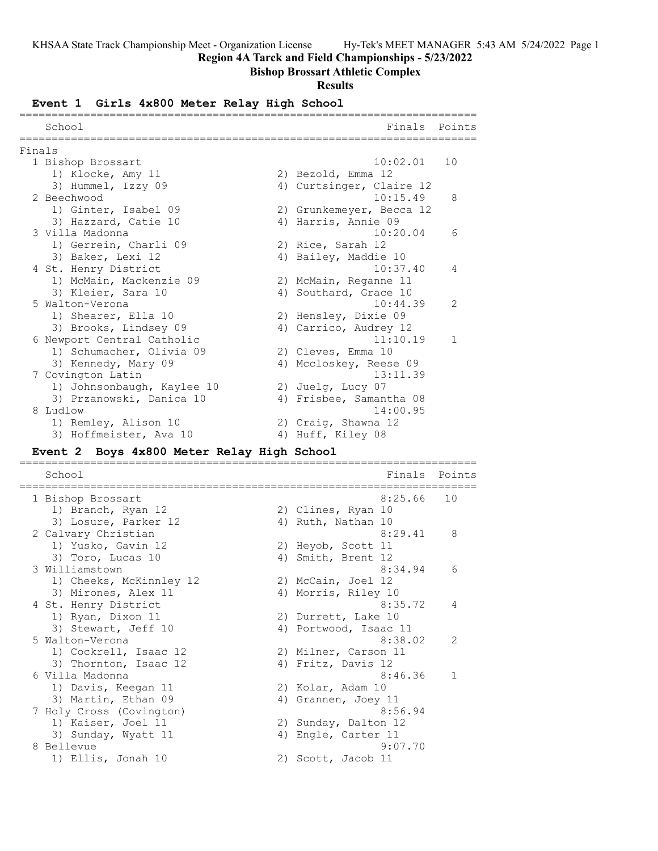**Region 4A Tarck and Field Championships - 5/23/2022**

## **Bishop Brossart Athletic Complex**

### **Results**

## **Event 1 Girls 4x800 Meter Relay High School**

| School                     |    | Finals Points<br>------------------------ |               |
|----------------------------|----|-------------------------------------------|---------------|
| Finals                     |    |                                           |               |
| 1 Bishop Brossart          |    | 10:02.01                                  | 10            |
| 1) Klocke, Amy 11          |    | 2) Bezold, Emma 12                        |               |
| 3) Hummel, Izzy 09         |    | 4) Curtsinger, Claire 12                  |               |
| 2 Beechwood                |    | 10:15.49                                  | 8             |
| 1) Ginter, Isabel 09       |    | 2) Grunkemeyer, Becca 12                  |               |
| 3) Hazzard, Catie 10       |    | 4) Harris, Annie 09                       |               |
| 3 Villa Madonna            |    | 10:20.04                                  | 6             |
| 1) Gerrein, Charli 09      |    | 2) Rice, Sarah 12                         |               |
| 3) Baker, Lexi 12          |    | 4) Bailey, Maddie 10                      |               |
| 4 St. Henry District       |    | 10:37.40                                  | 4             |
| 1) McMain, Mackenzie 09    |    | 2) McMain, Reganne 11                     |               |
| 3) Kleier, Sara 10         | 4) | Southard, Grace 10                        |               |
| 5 Walton-Verona            |    | 10:44.39                                  | $\mathcal{L}$ |
| 1) Shearer, Ella 10        |    | 2) Hensley, Dixie 09                      |               |
| 3) Brooks, Lindsey 09      |    | 4) Carrico, Audrey 12                     |               |
| 6 Newport Central Catholic |    | 11:10.19                                  | $\mathbf{1}$  |
| 1) Schumacher, Olivia 09   |    | 2) Cleves, Emma 10                        |               |
| 3) Kennedy, Mary 09        |    | 4) Mccloskey, Reese 09                    |               |
| 7 Covington Latin          |    | 13:11.39                                  |               |
| 1) Johnsonbaugh, Kaylee 10 |    | 2) Juelg, Lucy 07                         |               |
| 3) Przanowski, Danica 10   |    | 4) Frisbee, Samantha 08                   |               |
| 8 Ludlow                   |    | 14:00.95                                  |               |
| 1) Remley, Alison 10       |    | 2) Craig, Shawna 12                       |               |
| 3) Hoffmeister, Ava 10     |    | 4) Huff, Kiley 08                         |               |

# **Event 2 Boys 4x800 Meter Relay High School**

| School                   |    | Finals                | Points        |
|--------------------------|----|-----------------------|---------------|
| 1 Bishop Brossart        |    | 8:25.66               | 10            |
| 1) Branch, Ryan 12       |    | 2) Clines, Ryan 10    |               |
| 3) Losure, Parker 12     |    | 4) Ruth, Nathan 10    |               |
| 2 Calvary Christian      |    | 8:29.41               | 8             |
| 1) Yusko, Gavin 12       |    | 2) Heyob, Scott 11    |               |
| 3) Toro, Lucas 10        | 4) | Smith, Brent 12       |               |
| 3 Williamstown           |    | 8:34.94               | 6             |
| 1) Cheeks, McKinnley 12  |    | 2) McCain, Joel 12    |               |
| 3) Mirones, Alex 11      |    | 4) Morris, Riley 10   |               |
| 4 St. Henry District     |    | 8:35.72               | 4             |
| 1) Ryan, Dixon 11        |    | 2) Durrett, Lake 10   |               |
| 3) Stewart, Jeff 10      |    | 4) Portwood, Isaac 11 |               |
| 5 Walton-Verona          |    | 8:38.02               | $\mathcal{L}$ |
| 1) Cockrell, Isaac 12    |    | 2) Milner, Carson 11  |               |
| 3) Thornton, Isaac 12    |    | 4) Fritz, Davis 12    |               |
| 6 Villa Madonna          |    | 8:46.36               | $\mathbf{1}$  |
| 1) Davis, Keegan 11      |    | 2) Kolar, Adam 10     |               |
| 3) Martin, Ethan 09      |    | 4) Grannen, Joey 11   |               |
| 7 Holy Cross (Covington) |    | 8:56.94               |               |
| 1) Kaiser, Joel 11       |    | 2) Sunday, Dalton 12  |               |
| 3) Sunday, Wyatt 11      | 4) | Engle, Carter 11      |               |
| 8 Bellevue               |    | 9:07.70               |               |
| 1) Ellis, Jonah 10       |    | 2) Scott, Jacob 11    |               |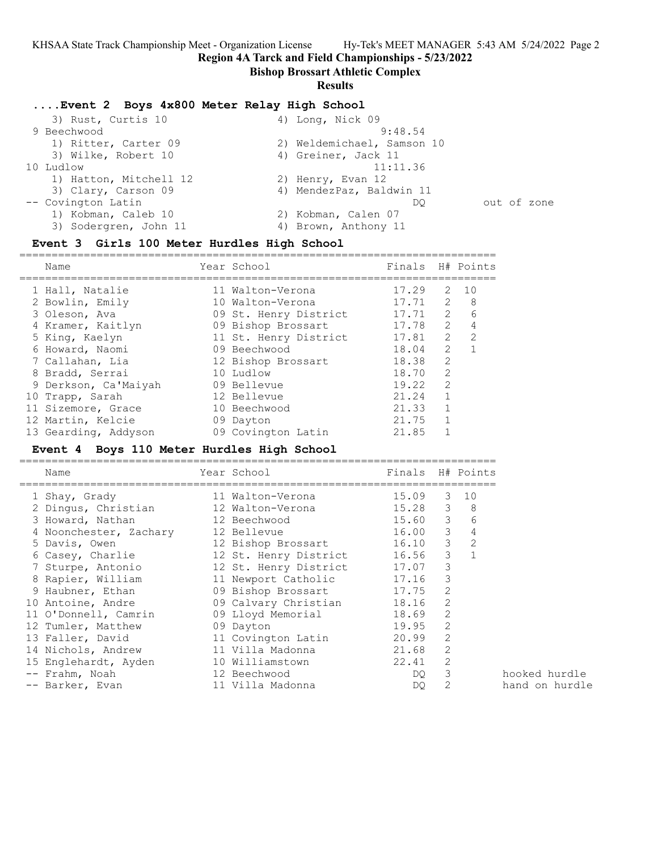**Region 4A Tarck and Field Championships - 5/23/2022**

### **Bishop Brossart Athletic Complex**

### **Results**

### **....Event 2 Boys 4x800 Meter Relay High School**

| 3) Rust, Curtis 10     | 4) Long, Nick 09           |             |
|------------------------|----------------------------|-------------|
| 9 Beechwood            | 9:48.54                    |             |
| 1) Ritter, Carter 09   | 2) Weldemichael, Samson 10 |             |
| 3) Wilke, Robert 10    | 4) Greiner, Jack 11        |             |
| 10 Ludlow              | 11:11.36                   |             |
| 1) Hatton, Mitchell 12 | 2) Henry, Evan 12          |             |
| 3) Clary, Carson 09    | 4) MendezPaz, Baldwin 11   |             |
| -- Covington Latin     | DO                         | out of zone |
| 1) Kobman, Caleb 10    | 2) Kobman, Calen 07        |             |
| 3) Sodergren, John 11  | 4) Brown, Anthony 11       |             |
|                        |                            |             |

### **Event 3 Girls 100 Meter Hurdles High School**

| Name                 | Year School           | Finals H# Points |                |                 |
|----------------------|-----------------------|------------------|----------------|-----------------|
| 1 Hall, Natalie      | 11 Walton-Verona      | 17.29            | 2              | 10              |
| 2 Bowlin, Emily      | 10 Walton-Verona      | 17.71            | 2              | - 8             |
| 3 Oleson, Ava        | 09 St. Henry District | 17.71            | $\overline{2}$ | $6\overline{6}$ |
| 4 Kramer, Kaitlyn    | 09 Bishop Brossart    | 17.78            | 2              | 4               |
| 5 King, Kaelyn       | 11 St. Henry District | 17.81            | $\overline{2}$ | $\overline{2}$  |
| 6 Howard, Naomi      | 09 Beechwood          | 18.04            | $\overline{2}$ |                 |
| 7 Callahan, Lia      | 12 Bishop Brossart    | 18.38            | 2              |                 |
| 8 Bradd, Serrai      | 10 Ludlow             | 18.70            | $\mathcal{L}$  |                 |
| 9 Derkson, Ca'Maiyah | 09 Bellevue           | 19.22            | $\mathcal{L}$  |                 |
| 10 Trapp, Sarah      | 12 Bellevue           | 21.24            | 1              |                 |
| 11 Sizemore, Grace   | 10 Beechwood          | 21.33            | $\mathbf{1}$   |                 |
| 12 Martin, Kelcie    | 09 Dayton             | 21.75            |                |                 |
| 13 Gearding, Addyson | 09 Covington Latin    | 21.85            |                |                 |

### **Event 4 Boys 110 Meter Hurdles High School**

| Name                                   | Year School                 | Finals H# Points |   |                |
|----------------------------------------|-----------------------------|------------------|---|----------------|
| 1 Shay, Grady                          | 11 Walton-Verona            | 15.09            |   | $3 - 10$       |
| 2 Dingus, Christian                    | 12 Walton-Verona            | 15.28 3          |   | 8 <sup>8</sup> |
| 3 Howard, Nathan                       | 12 Beechwood                | 15.60 3          |   | 6              |
| 4 Noonchester, Zachary 12 Bellevue     |                             | 16.00 3          |   | $\overline{4}$ |
| 5 Davis, Owen                          | 12 Bishop Brossart          | $16.10$ 3 2      |   |                |
| 6 Casey, Charlie                       | 12 St. Henry District 16.56 |                  | 3 |                |
| 7 Sturpe, Antonio                      | 12 St. Henry District 17.07 |                  | 3 |                |
| 8 Rapier, William                      | 11 Newport Catholic         | 17.16            | 3 |                |
| 9 Haubner, Ethan                       | 09 Bishop Brossart 17.75    |                  | 2 |                |
| 10 Antoine, Andre 69 Calvary Christian |                             | 18.16            | 2 |                |
| 11 O'Donnell, Camrin                   | 09 Lloyd Memorial           | 18.69            | 2 |                |
| 12 Tumler, Matthew                     | 09 Dayton                   | 19.95            | 2 |                |
| 13 Faller, David                       | 11 Covington Latin          | 20.99            | 2 |                |
| 14 Nichols, Andrew                     | 11 Villa Madonna            | 21.68            | 2 |                |
| 15 Englehardt, Ayden                   | 10 Williamstown             | 22.41            | 2 |                |
| -- Frahm, Noah                         | 12 Beechwood                | DQ.              | 3 |                |
| -- Barker, Evan                        | 11 Villa Madonna            | DQ.              | 2 |                |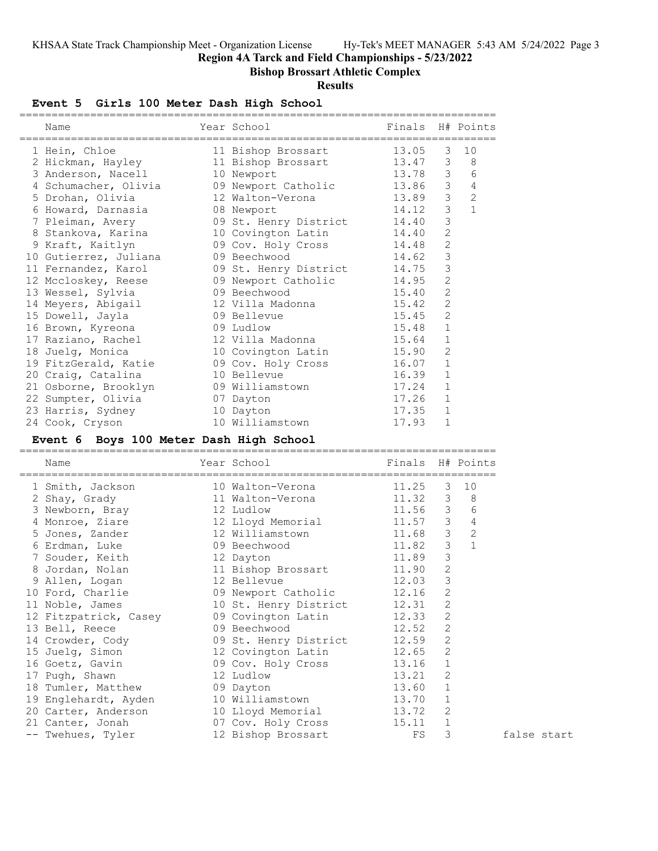**Region 4A Tarck and Field Championships - 5/23/2022**

## **Bishop Brossart Athletic Complex**

### **Results**

## **Event 5 Girls 100 Meter Dash High School**

| Name                  | Year School<br>------------ | Finals H# Points |                |                |
|-----------------------|-----------------------------|------------------|----------------|----------------|
| 1 Hein, Chloe         | 11 Bishop Brossart 13.05    |                  | 3              | 10             |
| 2 Hickman, Hayley     | 11 Bishop Brossart 13.47    |                  | 3              | 8              |
| 3 Anderson, Nacell    | 10 Newport                  | 13.78            | $\mathcal{S}$  | 6              |
| 4 Schumacher, Olivia  | 09 Newport Catholic 13.86 3 |                  |                | 4              |
| 5 Drohan, Olivia      | 12 Walton-Verona<br>13.89   |                  | $\mathcal{E}$  | $\overline{c}$ |
| 6 Howard, Darnasia    | 08 Newport                  | 14.12            | $\mathfrak{Z}$ | $\mathbf{1}$   |
| 7 Pleiman, Avery      | 09 St. Henry District 14.40 |                  | 3              |                |
| 8 Stankova, Karina    | 10 Covington Latin          | 14.40            | $\overline{c}$ |                |
| 9 Kraft, Kaitlyn      | 09 Cov. Holy Cross 14.48    |                  | $\overline{c}$ |                |
| 10 Gutierrez, Juliana | 09 Beechwood                | 14.62            | $\mathfrak{Z}$ |                |
| 11 Fernandez, Karol   | 09 St. Henry District 14.75 |                  | 3              |                |
| 12 Mccloskey, Reese   | 09 Newport Catholic         | 14.95            | $\overline{c}$ |                |
| 13 Wessel, Sylvia     | 15.40<br>09 Beechwood       |                  | $\overline{c}$ |                |
| 14 Meyers, Abigail    | 12 Villa Madonna            | 15.42            | $\overline{2}$ |                |
| 15 Dowell, Jayla      | 09 Bellevue                 | 15.45            | $\overline{c}$ |                |
| 16 Brown, Kyreona     | 09 Ludlow                   | 15.48            | $\mathbf{1}$   |                |
| 17 Raziano, Rachel    | 12 Villa Madonna            | 15.64            | $\mathbf{1}$   |                |
| 18 Juelg, Monica      | 10 Covington Latin          | 15.90            | 2              |                |
| 19 FitzGerald, Katie  | 09 Cov. Holy Cross 16.07    |                  | $\mathbf 1$    |                |
| 20 Craig, Catalina    | 10 Bellevue                 | 16.39            | $\mathbf{1}$   |                |
| 21 Osborne, Brooklyn  | 09 Williamstown             | 17.24            | $\mathbf{1}$   |                |
| 22 Sumpter, Olivia    | 07 Dayton                   | 17.26            | $\mathbf{1}$   |                |
| 23 Harris, Sydney     | 10 Dayton                   | 17.35            | $\mathbf{1}$   |                |
| 24 Cook, Cryson       | 10 Williamstown             | 17.93            | $\mathbf 1$    |                |

### **Event 6 Boys 100 Meter Dash High School**

| Name                  | Year School           | Finals H# Points |                |                 |
|-----------------------|-----------------------|------------------|----------------|-----------------|
| 1 Smith, Jackson      | 10 Walton-Verona      | 11.25            | 3              | 10              |
| 2 Shay, Grady         | 11 Walton-Verona      | 11.32 3          |                | 8               |
| 3 Newborn, Bray       | 12 Ludlow             | 11.56            | $\mathcal{S}$  | $6\phantom{1}6$ |
| 4 Monroe, Ziare       | 12 Lloyd Memorial     | 11.57 3          |                | $\overline{4}$  |
| 5 Jones, Zander       | 12 Williamstown       | 11.68            | $\mathfrak{Z}$ | $\overline{c}$  |
| 6 Erdman, Luke        | 09 Beechwood          | 11.82            | 3              |                 |
| 7 Souder, Keith       | 12 Dayton             | 11.89            | 3              |                 |
| 8 Jordan, Nolan       | 11 Bishop Brossart    | 11.90            | $\overline{2}$ |                 |
| 9 Allen, Logan        | 12 Bellevue           | 12.03            | 3              |                 |
| 10 Ford, Charlie      | 09 Newport Catholic   | 12.16            | 2              |                 |
| 11 Noble, James       | 10 St. Henry District | 12.31            | 2              |                 |
| 12 Fitzpatrick, Casey | 09 Covington Latin    | 12.33            | $\overline{2}$ |                 |
| 13 Bell, Reece        | 09 Beechwood          | 12.52            | 2              |                 |
| 14 Crowder, Cody      | 09 St. Henry District | 12.59            | $\mathbf{2}$   |                 |
| 15 Juelg, Simon       | 12 Covington Latin    | 12.65            | 2              |                 |
| 16 Goetz, Gavin       | 09 Cov. Holy Cross    | 13.16            |                |                 |
| 17 Pugh, Shawn        | 12 Ludlow             | 13.21            | 2              |                 |
| 18 Tumler, Matthew    | 09 Dayton             | 13.60            |                |                 |
| 19 Englehardt, Ayden  | 10 Williamstown       | 13.70            |                |                 |
| 20 Carter, Anderson   | 10 Lloyd Memorial     | 13.72            | 2              |                 |
| 21 Canter, Jonah      | 07 Cov. Holy Cross    | 15.11            | 1              |                 |
| -- Twehues, Tyler     | 12 Bishop Brossart    | FS               | 3              |                 |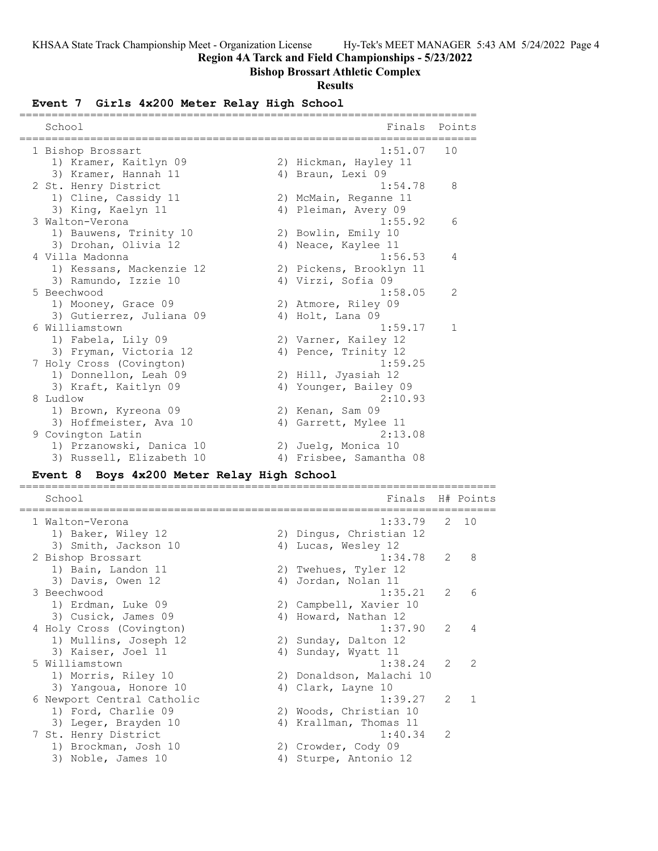**Region 4A Tarck and Field Championships - 5/23/2022**

# **Bishop Brossart Athletic Complex**

# **Results**

# **Event 7 Girls 4x200 Meter Relay High School**

| School                                                                                     | Finals<br>Points                                                                   |
|--------------------------------------------------------------------------------------------|------------------------------------------------------------------------------------|
| 1 Bishop Brossart<br>1) Kramer, Kaitlyn 09<br>3) Kramer, Hannah 11                         | 1:51.07<br>10<br>2) Hickman, Hayley 11<br>4) Braun, Lexi 09                        |
| 2 St. Henry District<br>1) Cline, Cassidy 11                                               | 1:54.78<br>8<br>2) McMain, Reganne 11                                              |
| 3) King, Kaelyn 11<br>3 Walton-Verona<br>1) Bauwens, Trinity 10                            | 4) Pleiman, Avery 09<br>1:55.92<br>6<br>2) Bowlin, Emily 10                        |
| 3) Drohan, Olivia 12<br>4 Villa Madonna<br>1) Kessans, Mackenzie 12                        | 4) Neace, Kaylee 11<br>1:56.53<br>4<br>2) Pickens, Brooklyn 11                     |
| 3) Ramundo, Izzie 10<br>5 Beechwood<br>1) Mooney, Grace 09                                 | 4) Virzi, Sofia 09<br>2<br>1:58.05<br>2) Atmore, Riley 09                          |
| 3) Gutierrez, Juliana 09<br>6 Williamstown<br>1) Fabela, Lily 09<br>3) Fryman, Victoria 12 | 4) Holt, Lana 09<br>1:59.17<br>1<br>2) Varner, Kailey 12                           |
| 7 Holy Cross (Covington)<br>1) Donnellon, Leah 09<br>3) Kraft, Kaitlyn 09                  | 4) Pence, Trinity 12<br>1:59.25<br>2) Hill, Jyasiah 12<br>Younger, Bailey 09<br>4) |
| 8 Ludlow<br>1) Brown, Kyreona 09<br>3) Hoffmeister, Ava 10                                 | 2:10.93<br>2) Kenan, Sam 09<br>4) Garrett, Mylee 11                                |
| 9 Covington Latin<br>1) Przanowski, Danica 10<br>3) Russell, Elizabeth 10                  | 2:13.08<br>2) Juelg, Monica 10<br>4) Frisbee, Samantha 08                          |
| Boys 4x200 Meter Relay High School<br><b>Event 8</b>                                       |                                                                                    |
| School                                                                                     | H# Points<br>Finals                                                                |
| 1 Walton-Verona<br>1) Baker, Wiley 12<br>3) Smith, Jackson 10                              | 2<br>1:33.79<br>10<br>2) Dingus, Christian 12<br>Lucas, Wesley 12<br>4)            |
| 2 Bishop Brossart<br>1) Bain, Landon 11<br>3) Davis, Owen 12                               | 1:34.78<br>2<br>8<br>2)<br>Twehues, Tyler 12<br>Jordan, Nolan 11<br>4)             |
| 3 Beechwood<br>1) Erdman, Luke 09<br>3) Cusick, James 09                                   | 1:35.21<br>2) Campbell, Xavier 10<br>4) Howard, Nathan 12                          |
| 4 Holy Cross (Covington)<br>1) Mullins, Joseph 12<br>3) Kaiser, Joel 11                    | 1:37.90<br>2<br>4<br>2) Sunday, Dalton 12<br>4) Sunday, Wyatt 11                   |
| 5 Williamstown<br>1) Morris, Riley 10<br>3) Yangoua, Honore 10                             | 1:38.24<br>2<br>2<br>2) Donaldson, Malachi 10<br>4) Clark, Layne 10                |
| 6 Newport Central Catholic<br>1) Ford, Charlie 09<br>3) Leger, Brayden 10                  | 1:39.27<br>1<br>2<br>2) Woods, Christian 10<br>4) Krallman, Thomas 11              |
| 7 St. Henry District<br>1) Brockman, Josh 10<br>3) Noble, James 10                         | 1:40.34<br>2<br>2) Crowder, Cody 09<br>4) Sturpe, Antonio 12                       |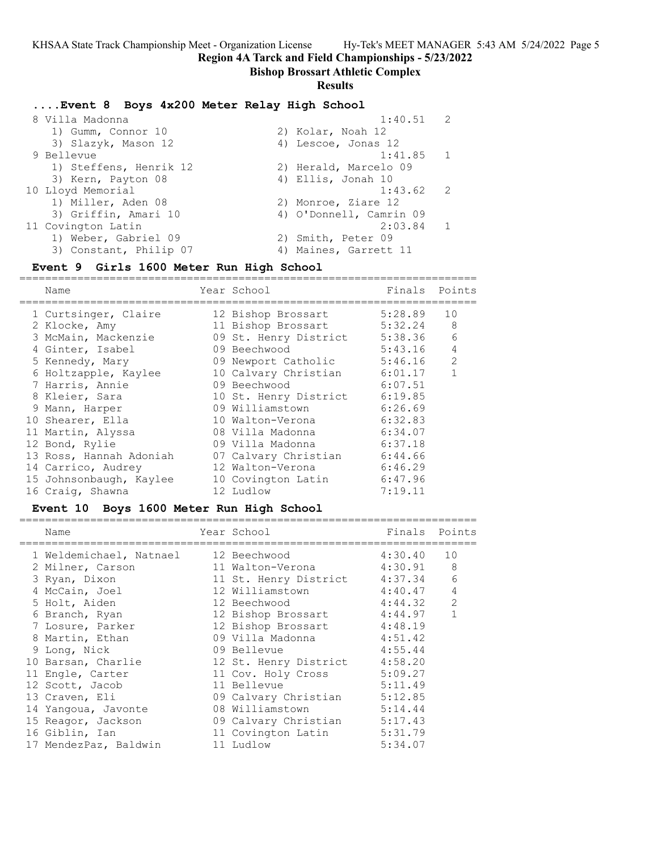**Region 4A Tarck and Field Championships - 5/23/2022**

#### **Bishop Brossart Athletic Complex**

#### **Results**

#### **....Event 8 Boys 4x200 Meter Relay High School**

| 1:40.51                 | $\overline{2}$ |
|-------------------------|----------------|
| 2) Kolar, Noah 12       |                |
| 4) Lescoe, Jonas 12     |                |
| $1:41.85$ 1             |                |
| 2) Herald, Marcelo 09   |                |
| 4) Ellis, Jonah 10      |                |
| $1:43.62$ 2             |                |
| 2) Monroe, Ziare 12     |                |
| 4) O'Donnell, Camrin 09 |                |
| 2:03.84                 | $\overline{1}$ |
| 2) Smith, Peter 09      |                |
| 4) Maines, Garrett 11   |                |
|                         |                |

#### **Event 9 Girls 1600 Meter Run High School**

======================================================================= Name Year School Finals Points ======================================================================= 1 Curtsinger, Claire 12 Bishop Brossart 5:28.89 10 2 Klocke, Amy 11 Bishop Brossart 5:32.24 8 3 McMain, Mackenzie 09 St. Henry District 5:38.36 6 4 Ginter, Isabel 09 Beechwood 5:43.16 4 5 Kennedy, Mary 09 Newport Catholic 5:46.16 2 6 Holtzapple, Kaylee 10 Calvary Christian 6:01.17 1 7 Harris, Annie 09 Beechwood 6:07.51 8 Kleier, Sara 10 St. Henry District 6:19.85 9 Mann, Harper 09 Williamstown 6:26.69 10 Shearer, Ella 10 Walton-Verona 6:32.83 11 Martin, Alyssa 08 Villa Madonna 6:34.07 12 Bond, Rylie 09 Villa Madonna 6:37.18 13 Ross, Hannah Adoniah 07 Calvary Christian 6:44.66 14 Carrico, Audrey 12 Walton-Verona 6:46.29 15 Johnsonbaugh, Kaylee 10 Covington Latin 6:47.96 16 Craig, Shawna 12 Ludlow 7:19.11

#### **Event 10 Boys 1600 Meter Run High School**

======================================================================= Year School Finals Points ======================================================================= 1 Weldemichael, Natnael 12 Beechwood 4:30.40 10 2 Milner, Carson 11 Walton-Verona 4:30.91 8 3 Ryan, Dixon 11 St. Henry District 4:37.34 6 4 McCain, Joel 12 Williamstown 4:40.47 4 5 Holt, Aiden 12 Beechwood 4:44.32 2 6 Branch, Ryan 12 Bishop Brossart 4:44.97 1 7 Losure, Parker 12 Bishop Brossart 4:48.19 8 Martin, Ethan 09 Villa Madonna 4:51.42 9 Long, Nick 09 Bellevue 4:55.44 10 Barsan, Charlie 12 St. Henry District 4:58.20 11 Engle, Carter 11 Cov. Holy Cross 5:09.27 12 Scott, Jacob 11 Bellevue 5:11.49 13 Craven, Eli 09 Calvary Christian 5:12.85 14 Yangoua, Javonte 08 Williamstown 5:14.44 15 Reagor, Jackson 09 Calvary Christian 5:17.43 16 Giblin, Ian 11 Covington Latin 5:31.79 17 MendezPaz, Baldwin 11 Ludlow 5:34.07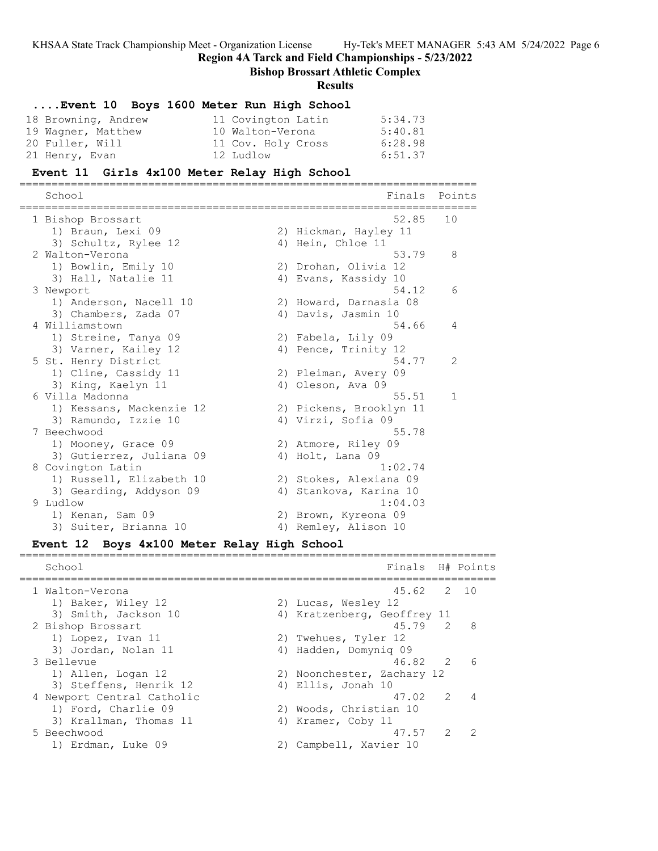**Region 4A Tarck and Field Championships - 5/23/2022**

**Bishop Brossart Athletic Complex**

#### **Results**

# **....Event 10 Boys 1600 Meter Run High School**

| 18 Browning, Andrew | 11 Covington Latin | 5:34.73 |
|---------------------|--------------------|---------|
| 19 Wagner, Matthew  | 10 Walton-Verona   | 5:40.81 |
| 20 Fuller, Will     | 11 Cov. Holy Cross | 6:28.98 |
| 21 Henry, Evan      | 12 Ludlow          | 6:51.37 |

#### **Event 11 Girls 4x100 Meter Relay High School**

======================================================================= School **Finals** Points ======================================================================= 1 Bishop Brossart 52.85 10 1) Braun, Lexi 09 2) Hickman, Hayley 11 3) Schultz, Rylee 12 (4) Hein, Chloe 11 2 Walton-Verona 53.79 8 1) Bowlin, Emily 10 2) Drohan, Olivia 12 3) Hall, Natalie 11 (4) Evans, Kassidy 10 3 Newport 54.12 6 1) Anderson, Nacell 10 2) Howard, Darnasia 08 3) Chambers, Zada 07 (4) Davis, Jasmin 10 4 Williamstown 54.66 4 1) Streine, Tanya 09 2) Fabela, Lily 09 3) Varner, Kailey 12 (4) Pence, Trinity 12 5 St. Henry District 54.77 2 1) Cline, Cassidy 11 2) Pleiman, Avery 09 3) King, Kaelyn 11 1988 (4) Oleson, Ava 6 Villa Madonna 55.51 1 1) Kessans, Mackenzie 12 2) Pickens, Brooklyn 11 3) Ramundo, Izzie 10  $\hspace{1cm}$  4) Virzi, Sofia 09 7 Beechwood 55.78 1) Mooney, Grace 09 2) Atmore, Riley 09 3) Gutierrez, Juliana 09 (4) Holt, Lana 09 8 Covington Latin 1:02.74 1) Russell, Elizabeth 10 2) Stokes, Alexiana 09 3) Gearding, Addyson 09 4) Stankova, Karina 10 9 Ludlow 1:04.03 1) Kenan, Sam 09 2) Brown, Kyreona 09 3) Suiter, Brianna 10 (4) Remley, Alison 10

#### **Event 12 Boys 4x100 Meter Relay High School**

School **Finals** H# Points ========================================================================== 1 Walton-Verona 45.62 2 10 1) Baker, Wiley 12 2) Lucas, Wesley 12 3) Smith, Jackson 10 4) Kratzenberg, Geoffrey 11 2 Bishop Brossart 45.79 2 8 1) Lopez, Ivan 11 2) Twehues, Tyler 12 3) Jordan, Nolan 11 4) Hadden, Domyniq 09 3 Bellevue 46.82 2 6 1) Allen, Logan 12 2) Noonchester, Zachary 12 3) Steffens, Henrik 12 (4) Ellis, Jonah 10 4 Newport Central Catholic 17.02 2 4 1) Ford, Charlie 09 2) Woods, Christian 10 3) Krallman, Thomas 11  $\hskip10mm$  4) Kramer, Coby 11 5 Beechwood 47.57 2 2 1) Erdman, Luke 09 2) Campbell, Xavier 10

==========================================================================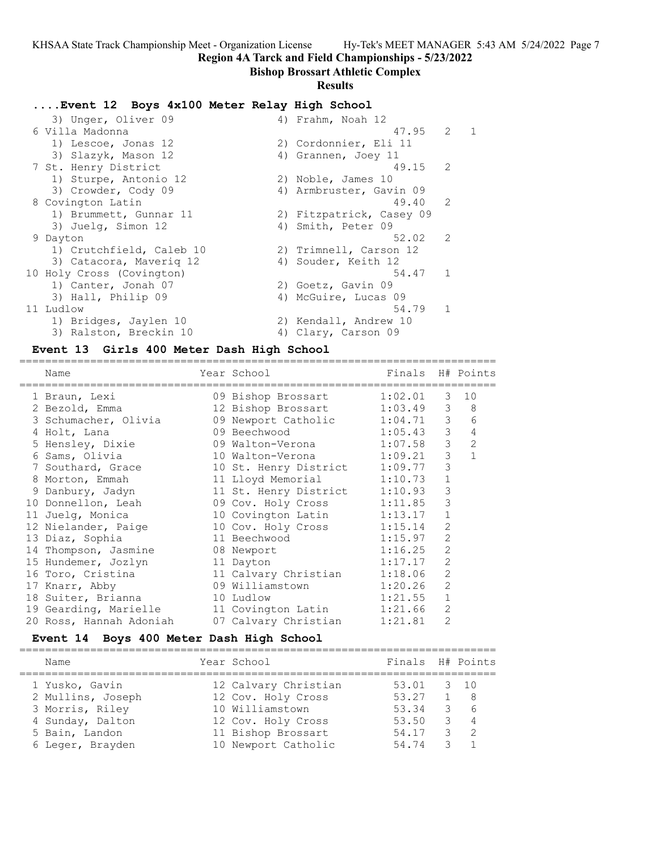**Region 4A Tarck and Field Championships - 5/23/2022**

## **Bishop Brossart Athletic Complex**

### **Results**

## **....Event 12 Boys 4x100 Meter Relay High School**

| 3) Unger, Oliver 09       |       |                                                                                                                                                                                                                                                                                                                              |              |
|---------------------------|-------|------------------------------------------------------------------------------------------------------------------------------------------------------------------------------------------------------------------------------------------------------------------------------------------------------------------------------|--------------|
| 6 Villa Madonna           |       | 2                                                                                                                                                                                                                                                                                                                            | $\mathbf{1}$ |
| 1) Lescoe, Jonas 12       |       |                                                                                                                                                                                                                                                                                                                              |              |
| 3) Slazyk, Mason 12       |       |                                                                                                                                                                                                                                                                                                                              |              |
| 7 St. Henry District      |       |                                                                                                                                                                                                                                                                                                                              |              |
| 1) Sturpe, Antonio 12     |       |                                                                                                                                                                                                                                                                                                                              |              |
| 3) Crowder, Cody 09       |       |                                                                                                                                                                                                                                                                                                                              |              |
| 8 Covington Latin         | 49.40 | 2                                                                                                                                                                                                                                                                                                                            |              |
| 1) Brummett, Gunnar 11    |       |                                                                                                                                                                                                                                                                                                                              |              |
| 3) Juelg, Simon 12        |       |                                                                                                                                                                                                                                                                                                                              |              |
| 9 Dayton                  | 52.02 | 2                                                                                                                                                                                                                                                                                                                            |              |
| 1) Crutchfield, Caleb 10  |       |                                                                                                                                                                                                                                                                                                                              |              |
| 3) Catacora, Maverig 12   |       |                                                                                                                                                                                                                                                                                                                              |              |
| 10 Holy Cross (Covington) | 54.47 | $\overline{1}$                                                                                                                                                                                                                                                                                                               |              |
| 1) Canter, Jonah 07       |       |                                                                                                                                                                                                                                                                                                                              |              |
| 3) Hall, Philip 09        |       |                                                                                                                                                                                                                                                                                                                              |              |
| 11 Ludlow                 | 54.79 | 1                                                                                                                                                                                                                                                                                                                            |              |
| 1) Bridges, Jaylen 10     |       |                                                                                                                                                                                                                                                                                                                              |              |
| 3) Ralston, Breckin 10    |       |                                                                                                                                                                                                                                                                                                                              |              |
|                           |       | 4) Frahm, Noah 12<br>47.95<br>2) Cordonnier, Eli 11<br>4) Grannen, Joey 11<br>2) Noble, James 10<br>4) Armbruster, Gavin 09<br>2) Fitzpatrick, Casey 09<br>4) Smith, Peter 09<br>2) Trimnell, Carson 12<br>4) Souder, Keith 12<br>2) Goetz, Gavin 09<br>4) McGuire, Lucas 09<br>2) Kendall, Andrew 10<br>4) Clary, Carson 09 | 49.15 2      |

### **Event 13 Girls 400 Meter Dash High School**

| Name                    | Year School                   | Finals H# Points |                |                |
|-------------------------|-------------------------------|------------------|----------------|----------------|
| 1 Braun, Lexi           | 09 Bishop Brossart            | 1:02.01          | 3              | 10             |
| 2 Bezold, Emma          | 12 Bishop Brossart 1:03.49    |                  | 3              | 8 <sup>8</sup> |
| 3 Schumacher, Olivia    | 09 Newport Catholic 1:04.71 3 |                  |                | 6              |
| 4 Holt, Lana            | 1:05.43<br>09 Beechwood       |                  | $\mathcal{S}$  | $\overline{4}$ |
| 5 Hensley, Dixie        | 09 Walton-Verona              | 1:07.58          | $\mathfrak{Z}$ | $\overline{2}$ |
| 6 Sams, Olivia          | 10 Walton-Verona              | 1:09.21          | $\mathfrak{Z}$ | $\mathbf{1}$   |
| 7 Southard, Grace       | 10 St. Henry District 1:09.77 |                  | $\mathcal{E}$  |                |
| 8 Morton, Emmah         | 11 Lloyd Memorial             | 1:10.73          | $\mathbf{1}$   |                |
| 9 Danbury, Jadyn        | 11 St. Henry District         | 1:10.93          | 3              |                |
| 10 Donnellon, Leah      | 09 Cov. Holy Cross 1:11.85    |                  | 3              |                |
| 11 Juelq, Monica        | 10 Covington Latin            | 1:13.17          | $\mathbf{1}$   |                |
| 12 Nielander, Paige     | 10 Cov. Holy Cross 1:15.14    |                  | $\overline{2}$ |                |
| 13 Diaz, Sophia         | 11 Beechwood                  | 1:15.97          | $\overline{2}$ |                |
| 14 Thompson, Jasmine    | 08 Newport                    | 1:16.25          | $\overline{2}$ |                |
| 15 Hundemer, Jozlyn     | 11 Dayton                     | 1:17.17          | $\overline{2}$ |                |
| 16 Toro, Cristina       | 11 Calvary Christian          | 1:18.06          | $\overline{2}$ |                |
| 17 Knarr, Abby          | 09 Williamstown               | 1:20.26          | $\overline{2}$ |                |
| 18 Suiter, Brianna      | 10 Ludlow                     | 1:21.55          | $\mathbf{1}$   |                |
| 19 Gearding, Marielle   | 11 Covington Latin 1:21.66    |                  | 2              |                |
| 20 Ross, Hannah Adoniah | 07 Calvary Christian          | 1:21.81          | $\overline{2}$ |                |
|                         |                               |                  |                |                |

## **Event 14 Boys 400 Meter Dash High School**

| Name              | Year School          | Finals H# Points |                 |
|-------------------|----------------------|------------------|-----------------|
|                   |                      |                  |                 |
| 1 Yusko, Gavin    | 12 Calvary Christian | 53.01 3 10       |                 |
| 2 Mullins, Joseph | 12 Cov. Holy Cross   | 53.27            | 1 8             |
| 3 Morris, Riley   | 10 Williamstown      | 53.34            | $3\overline{6}$ |
| 4 Sunday, Dalton  | 12 Cov. Holy Cross   | 53.50            | 3 4             |
| 5 Bain, Landon    | 11 Bishop Brossart   | 54.17            | $3 \quad 2$     |
| 6 Leger, Brayden  | 10 Newport Catholic  | 54.74            |                 |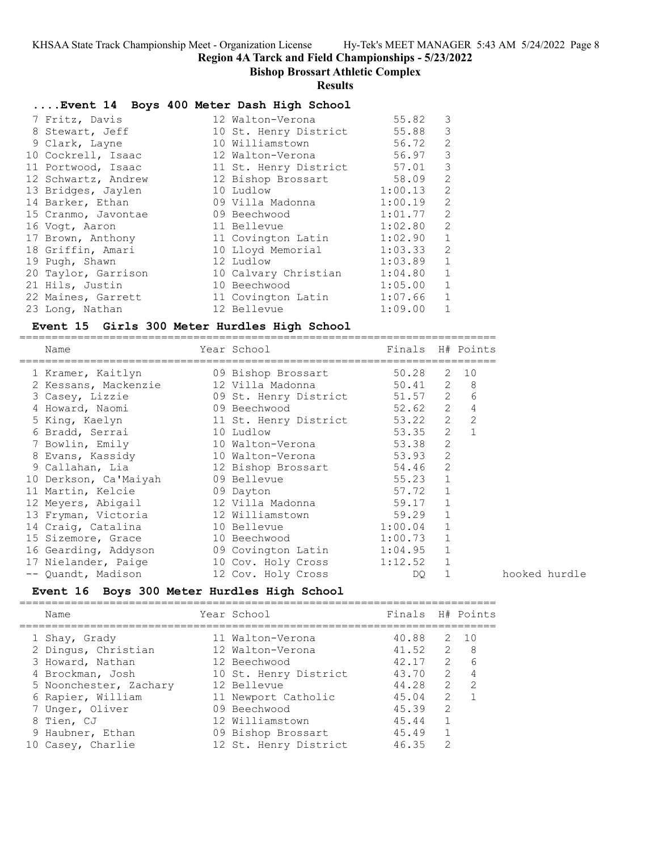**Region 4A Tarck and Field Championships - 5/23/2022**

### **Bishop Brossart Athletic Complex**

**Results**

#### **....Event 14 Boys 400 Meter Dash High School**

|  | 7 Fritz, Davis      | 12 Walton-Verona      | 55.82       | 3              |
|--|---------------------|-----------------------|-------------|----------------|
|  | 8 Stewart, Jeff     | 10 St. Henry District | 55.88       | $\mathcal{S}$  |
|  | 9 Clark, Layne      | 10 Williamstown       | 56.72       | 2              |
|  | 10 Cockrell, Isaac  | 12 Walton-Verona      | 56.97       | 3              |
|  | 11 Portwood, Isaac  | 11 St. Henry District | 57.01 3     |                |
|  | 12 Schwartz, Andrew | 12 Bishop Brossart    | 58.09 2     |                |
|  | 13 Bridges, Jaylen  | 10 Ludlow             | 1:00.13 2   |                |
|  | 14 Barker, Ethan    | 09 Villa Madonna      | $1:00.19$ 2 |                |
|  | 15 Cranmo, Javontae | 09 Beechwood          | 1:01.77 2   |                |
|  | 16 Voqt, Aaron      | 11 Bellevue           | 1:02.80 2   |                |
|  | 17 Brown, Anthony   | 11 Covington Latin    | 1:02.90     | $\overline{1}$ |
|  | 18 Griffin, Amari   | 10 Lloyd Memorial     | 1:03.33 2   |                |
|  | 19 Pugh, Shawn      | 12 Ludlow             | 1:03.89     | $\overline{1}$ |
|  | 20 Taylor, Garrison | 10 Calvary Christian  | 1:04.80     | $\mathbf{1}$   |
|  | 21 Hils, Justin     | 10 Beechwood          | 1:05.00 1   |                |
|  | 22 Maines, Garrett  | 11 Covington Latin    | $1:07.66$ 1 |                |
|  | 23 Long, Nathan     | 12 Bellevue           | 1:09.00     | 1              |
|  |                     |                       |             |                |

#### **Event 15 Girls 300 Meter Hurdles High School** ==========================================================================

| Name                                            | Year School                   | Finals H# Points |              |             |
|-------------------------------------------------|-------------------------------|------------------|--------------|-------------|
| 1 Kramer, Kaitlyn 19 Bishop Brossart            |                               | 50.28 2 10       |              |             |
| 2 Kessans, Mackenzie                            |                               |                  |              |             |
| 3 Casey, Lizzie                                 | 09 St. Henry District 51.57 2 |                  |              | 6           |
| 4 Howard, Naomi                                 | 09 Beechwood                  | 52.62 2          |              | $\sqrt{4}$  |
| 5 King, Kaelyn                                  | 11 St. Henry District 53.22   |                  |              | $2 \quad 2$ |
| 6 Bradd, Serrai                                 | 10 Ludlow                     | 53.35            |              | $2 \quad 1$ |
| 7 Bowlin, Emily                                 | 10 Walton-Verona              | 53.38            | 2            |             |
| 8 Evans, Kassidy 10 Walton-Verona 53.93         |                               |                  | 2            |             |
| 9 Callahan, Lia and 12 Bishop Brossart          |                               | 54.46            | 2            |             |
| 10 Derkson, Ca'Maiyah                           | 09 Bellevue                   | 55.23            | 1            |             |
| 11 Martin, Kelcie 69 Dayton                     |                               | 57.72            | $\mathbf 1$  |             |
| 12 Meyers, Abigail 12 Villa Madonna             |                               | 59.17            | $\mathbf{1}$ |             |
| 13 Fryman, Victoria                             | 12 Williamstown               | 59.29            | $\mathbf{1}$ |             |
| 14 Craig, Catalina                              | 10 Bellevue 1:00.04           |                  | $\mathbf 1$  |             |
| 15 Sizemore, Grace 10 Beechwood 1:00.73         |                               |                  | $\mathbf{1}$ |             |
| 16 Gearding, Addyson 69 Covington Latin 1:04.95 |                               |                  | 1            |             |
| 17 Nielander, Paige                             | 10 Cov. Holy Cross            | 1:12.52          |              |             |
| -- Quandt, Madison                              | 12 Cov. Holy Cross            | DQ.              |              |             |

### **Event 16 Boys 300 Meter Hurdles High School**

========================================================================== Name Year School Finals H# Points ========================================================================== 1 Shay, Grady 11 Walton-Verona 40.88 2 10 2 Dingus, Christian 12 Walton-Verona 41.52 2 8 3 Howard, Nathan 12 Beechwood 42.17 2 6 4 Brockman, Josh 10 St. Henry District 43.70 2 4 5 Noonchester, Zachary 12 Bellevue 44.28 2 2 6 Rapier, William 11 Newport Catholic 45.04 2 1 7 Unger, Oliver 09 Beechwood 45.39 2 8 Tien, CJ 12 Williamstown 45.44 1 9 Haubner, Ethan 09 Bishop Brossart 45.49 1 10 Casey, Charlie 12 St. Henry District 46.35 2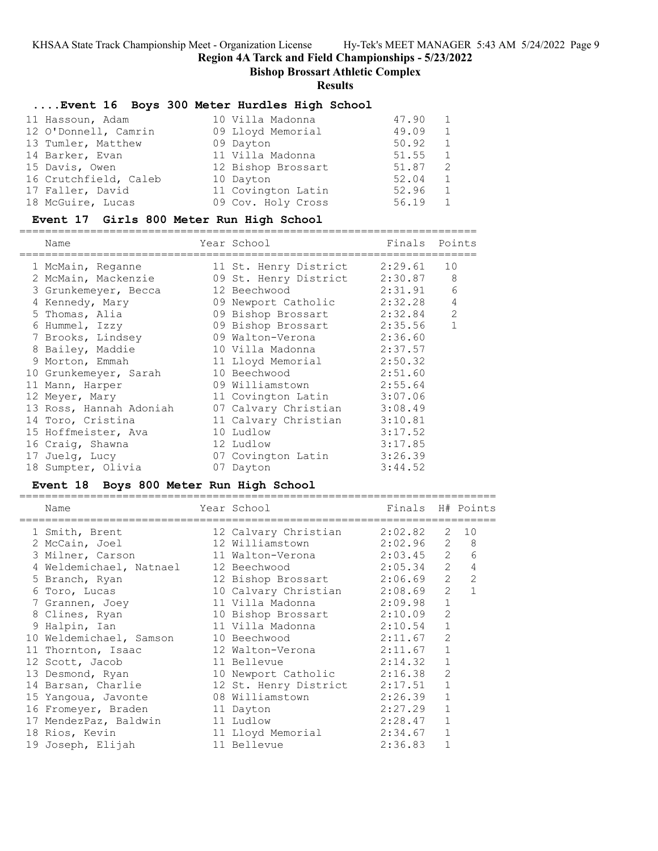**Region 4A Tarck and Field Championships - 5/23/2022**

**Bishop Brossart Athletic Complex**

**Results**

### **....Event 16 Boys 300 Meter Hurdles High School**

| 11 Hassoun, Adam      | 10 Villa Madonna   | 47.90 |               |
|-----------------------|--------------------|-------|---------------|
| 12 O'Donnell, Camrin  | 09 Lloyd Memorial  | 49.09 | $\mathbf{1}$  |
| 13 Tumler, Matthew    | 09 Dayton          | 50.92 | 1             |
| 14 Barker, Evan       | 11 Villa Madonna   | 51.55 | $\mathbf{1}$  |
| 15 Davis, Owen        | 12 Bishop Brossart | 51.87 | $\mathcal{P}$ |
| 16 Crutchfield, Caleb | 10 Dayton          | 52.04 | $\mathbf{1}$  |
| 17 Faller, David      | 11 Covington Latin | 52.96 |               |
| 18 McGuire, Lucas     | 09 Cov. Holy Cross | 56.19 |               |

### **Event 17 Girls 800 Meter Run High School**

=======================================================================

| Name                    | Year School           | Finals  | Points       |
|-------------------------|-----------------------|---------|--------------|
| 1 McMain, Reganne       | 11 St. Henry District | 2:29.61 | 10           |
| 2 McMain, Mackenzie     | 09 St. Henry District | 2:30.87 | 8            |
| 3 Grunkemeyer, Becca    | 12 Beechwood          | 2:31.91 | 6            |
| 4 Kennedy, Mary         | 09 Newport Catholic   | 2:32.28 | $\sqrt{4}$   |
| 5 Thomas, Alia          | 09 Bishop Brossart    | 2:32.84 | 2            |
| 6 Hummel, Izzy          | 09 Bishop Brossart    | 2:35.56 | $\mathbf{1}$ |
| 7 Brooks, Lindsey       | 09 Walton-Verona      | 2:36.60 |              |
| 8 Bailey, Maddie        | 10 Villa Madonna      | 2:37.57 |              |
| 9 Morton, Emmah         | 11 Lloyd Memorial     | 2:50.32 |              |
| 10 Grunkemeyer, Sarah   | 10 Beechwood          | 2:51.60 |              |
| 11 Mann, Harper         | 09 Williamstown       | 2:55.64 |              |
| 12 Meyer, Mary          | 11 Covington Latin    | 3:07.06 |              |
| 13 Ross, Hannah Adoniah | 07 Calvary Christian  | 3:08.49 |              |
| 14 Toro, Cristina       | 11 Calvary Christian  | 3:10.81 |              |
| 15 Hoffmeister, Ava     | 10 Ludlow             | 3:17.52 |              |
| 16 Craiq, Shawna        | 12 Ludlow             | 3:17.85 |              |
| 17 Juelg, Lucy          | 07 Covington Latin    | 3:26.39 |              |
| 18 Sumpter, Olivia      | 07 Dayton             | 3:44.52 |              |

### **Event 18 Boys 800 Meter Run High School**

| Name                                 | Year School in the School and the School and the School and the School and the School and the School | Finals H# Points |                |                |
|--------------------------------------|------------------------------------------------------------------------------------------------------|------------------|----------------|----------------|
| 1 Smith, Brent                       | 12 Calvary Christian 2:02.82                                                                         |                  |                | 2 10           |
| 2 McCain, Joel                       | 12 Williamstown 2:02.96 2                                                                            |                  |                | 8              |
| 3 Milner, Carson                     | 11 Walton-Verona 2:03.45 2                                                                           |                  |                | 6              |
| 4 Weldemichael, Natnael 12 Beechwood |                                                                                                      | $2:05.34$ 2      |                | $\sqrt{4}$     |
| 5 Branch, Ryan                       | 12 Bishop Brossart 2:06.69                                                                           |                  | 2              | 2              |
| 6 Toro, Lucas                        | 10 Calvary Christian 2:08.69                                                                         |                  | 2              | $\overline{1}$ |
| 7 Grannen, Joey                      | 11 Villa Madonna (2:09.98)                                                                           |                  | $\mathbf 1$    |                |
| 8 Clines, Ryan                       | 10 Bishop Brossart 2:10.09                                                                           |                  | 2              |                |
| 9 Halpin, Ian                        | 11 Villa Madonna (2:10.54)                                                                           |                  | $\mathbf{1}$   |                |
| 10 Weldemichael, Samson              | 10 Beechwood 2:11.67                                                                                 |                  | $\overline{2}$ |                |
| 11 Thornton, Isaac                   | 12 Walton-Verona                                                                                     | 2:11.67          | $\mathbf 1$    |                |
| 12 Scott, Jacob                      | 11 Bellevue                                                                                          | 2:14.32          | $\mathbf 1$    |                |
| 13 Desmond, Ryan                     | 10 Newport Catholic 2:16.38                                                                          |                  | $\overline{2}$ |                |
| 14 Barsan, Charlie                   | 12 St. Henry District                                                                                | 2:17.51          | 1              |                |
| 15 Yangoua, Javonte                  | 08 Williamstown                                                                                      | 2:26.39          | $\mathbf{1}$   |                |
| 16 Fromeyer, Braden                  | 11 Dayton                                                                                            | 2:27.29          | $\mathbf{1}$   |                |
| 17 MendezPaz, Baldwin                | 11 Ludlow                                                                                            | 2:28.47          | $\mathbf{1}$   |                |
| 18 Rios, Kevin                       | 11 Lloyd Memorial                                                                                    | 2:34.67          | $\mathbf{1}$   |                |
| 19 Joseph, Elijah                    | 11 Bellevue                                                                                          | 2:36.83          | 1              |                |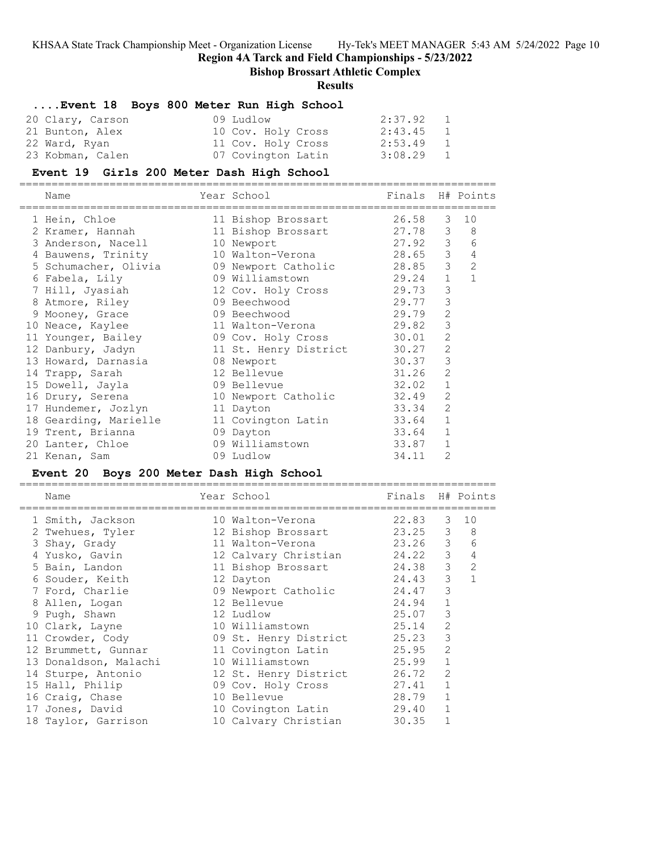**Region 4A Tarck and Field Championships - 5/23/2022**

==========================================================================

**Bishop Brossart Athletic Complex**

### **Results**

## **....Event 18 Boys 800 Meter Run High School**

| 20 Clary, Carson | 09 Ludlow          | 2:37.92     | $\sim$ 1     |
|------------------|--------------------|-------------|--------------|
| 21 Bunton, Alex  | 10 Cov. Holy Cross | $2:43.45$ 1 |              |
| 22 Ward, Ryan    | 11 Cov. Holy Cross | 2:53.49     | $\mathbf{1}$ |
| 23 Kobman, Calen | 07 Covington Latin | 3:08.29 1   |              |

#### **Event 19 Girls 200 Meter Dash High School**

==========================================================================

| Name                                     | Year School                 | Finals  |                | H# Points      |
|------------------------------------------|-----------------------------|---------|----------------|----------------|
| 1 Hein, Chloe                            | 11 Bishop Brossart          | 26.58   | 3              | 10             |
| 2 Kramer, Hannah                         | 11 Bishop Brossart 27.78 3  |         |                | 8 <sup>8</sup> |
| 3 Anderson, Nacell                       | 10 Newport                  | 27.92 3 |                | 6              |
| 4 Bauwens, Trinity                       | 10 Walton-Verona            | 28.65   | $\mathcal{S}$  | $\sqrt{4}$     |
|                                          |                             | 28.85   | $\mathcal{S}$  | $\overline{2}$ |
| 6 Fabela, Lily                           | 09 Williamstown             | 29.24   | $\mathbf{1}$   | $\mathbf{1}$   |
| 7 Hill, Jyasiah                          | 12 Cov. Holy Cross 29.73    |         | 3              |                |
| 8 Atmore, Riley                          | 09 Beechwood and the sea    | 29.77   | 3              |                |
| 9 Mooney, Grace                          | 09 Beechwood                | 29.79   | 2              |                |
| 10 Neace, Kaylee                         | 11 Walton-Verona            | 29.82   | 3              |                |
| 11 Younger, Bailey                       | 09 Cov. Holy Cross 30.01    |         | 2              |                |
| 12 Danbury, Jadyn                        | 11 St. Henry District 30.27 |         | $\overline{2}$ |                |
| 13 Howard, Darnasia                      | 08 Newport                  | 30.37   | 3              |                |
| 14 Trapp, Sarah                          | 12 Bellevue                 | 31.26   | $\overline{c}$ |                |
| 15 Dowell, Jayla                         | 09 Bellevue                 | 32.02   | $1\,$          |                |
| 16 Drury, Serena                         | 10 Newport Catholic         | 32.49   | $\overline{2}$ |                |
| 17 Hundemer, Jozlyn                      | 11 Dayton                   | 33.34   | $\overline{2}$ |                |
| 18 Gearding, Marielle 11 Covington Latin |                             | 33.64   | $\mathbf{1}$   |                |
| 19 Trent, Brianna                        | 09 Dayton                   | 33.64   | $\mathbf{1}$   |                |
| 20 Lanter, Chloe                         | 09 Williamstown             | 33.87   | $\mathbf{1}$   |                |
| 21 Kenan, Sam                            | 09 Ludlow                   | 34.11   | $\overline{2}$ |                |

#### **Event 20 Boys 200 Meter Dash High School**

| Name                  | Year School           | Finals H# Points |               |                |
|-----------------------|-----------------------|------------------|---------------|----------------|
| 1 Smith, Jackson      | 10 Walton-Verona      | 22.83            |               | 3 10           |
| 2 Twehues, Tyler      | 12 Bishop Brossart    | 23.25            | 3             | 8              |
| 3 Shay, Grady         | 11 Walton-Verona      | 23.26            | $\mathcal{S}$ | 6              |
| 4 Yusko, Gavin        | 12 Calvary Christian  | 24.22            | 3             | 4              |
| 5 Bain, Landon        | 11 Bishop Brossart    | 24.38            | 3             | $\overline{2}$ |
| 6 Souder, Keith       | 12 Dayton             | 24.43            | 3             | $\mathbf{1}$   |
| 7 Ford, Charlie       | 09 Newport Catholic   | 24.47            | 3             |                |
| 8 Allen, Logan        | 12 Bellevue           | 24.94            | $\mathbf{1}$  |                |
| 9 Pugh, Shawn         | 12 Ludlow             | 25.07            | 3             |                |
| 10 Clark, Layne       | 10 Williamstown       | 25.14            | 2             |                |
| 11 Crowder, Cody      | 09 St. Henry District | 25.23            | 3             |                |
| 12 Brummett, Gunnar   | 11 Covington Latin    | 25.95            | 2             |                |
| 13 Donaldson, Malachi | 10 Williamstown       | 25.99            | $\mathbf{1}$  |                |
| 14 Sturpe, Antonio    | 12 St. Henry District | 26.72            | 2             |                |
| 15 Hall, Philip       | 09 Cov. Holy Cross    | 27.41            | 1             |                |
| 16 Craig, Chase       | 10 Bellevue           | 28.79            | $\mathbf{1}$  |                |
| 17 Jones, David       | 10 Covington Latin    | 29.40            |               |                |
| 18 Taylor, Garrison   | 10 Calvary Christian  | 30.35            |               |                |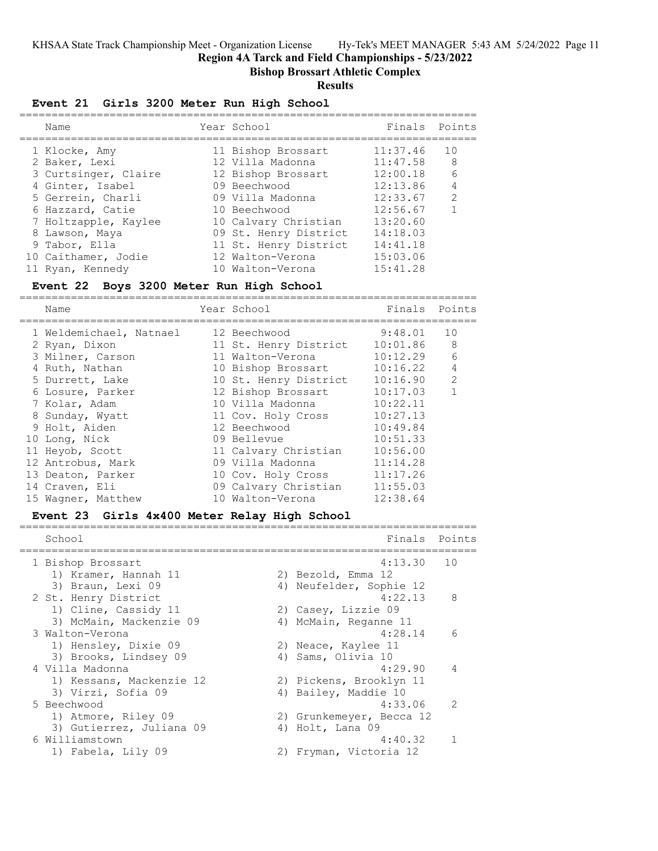**Region 4A Tarck and Field Championships - 5/23/2022**

**Bishop Brossart Athletic Complex**

### **Results**

## **Event 21 Girls 3200 Meter Run High School**

| Name                 | Year School           | Finals Points |                |
|----------------------|-----------------------|---------------|----------------|
| 1 Klocke, Amy        | 11 Bishop Brossart    | 11:37.46      | 10             |
| 2 Baker, Lexi        | 12 Villa Madonna      | 11:47.58      | - 8            |
| 3 Curtsinger, Claire | 12 Bishop Brossart    | 12:00.18      | 6              |
| 4 Ginter, Isabel     | 09 Beechwood          | 12:13.86      | $\overline{4}$ |
| 5 Gerrein, Charli    | 09 Villa Madonna      | 12:33.67      | $\mathcal{P}$  |
| 6 Hazzard, Catie     | 10 Beechwood          | 12:56.67      |                |
| 7 Holtzapple, Kaylee | 10 Calvary Christian  | 13:20.60      |                |
| 8 Lawson, Maya       | 09 St. Henry District | 14:18.03      |                |
| 9 Tabor, Ella        | 11 St. Henry District | 14:41.18      |                |
| 10 Caithamer, Jodie  | 12 Walton-Verona      | 15:03.06      |                |
| 11 Ryan, Kennedy     | 10 Walton-Verona      | 15:41.28      |                |

### **Event 22 Boys 3200 Meter Run High School**

=======================================================================

| Name                    | Year School           | Finals   | Points |
|-------------------------|-----------------------|----------|--------|
| 1 Weldemichael, Natnael | 12 Beechwood          | 9:48.01  | 10     |
| 2 Ryan, Dixon           | 11 St. Henry District | 10:01.86 | 8      |
| 3 Milner, Carson        | 11 Walton-Verona      | 10:12.29 | 6      |
| 4 Ruth, Nathan          | 10 Bishop Brossart    | 10:16.22 | 4      |
| 5 Durrett, Lake         | 10 St. Henry District | 10:16.90 | 2      |
| 6 Losure, Parker        | 12 Bishop Brossart    | 10:17.03 | 1      |
| 7 Kolar, Adam           | 10 Villa Madonna      | 10:22.11 |        |
| 8 Sunday, Wyatt         | 11 Cov. Holy Cross    | 10:27.13 |        |
| 9 Holt, Aiden           | 12 Beechwood          | 10:49.84 |        |
| 10 Long, Nick           | 09 Bellevue           | 10:51.33 |        |
| 11 Heyob, Scott         | 11 Calvary Christian  | 10:56.00 |        |
| 12 Antrobus, Mark       | 09 Villa Madonna      | 11:14.28 |        |
| 13 Deaton, Parker       | 10 Cov. Holy Cross    | 11:17.26 |        |
| 14 Craven, Eli          | 09 Calvary Christian  | 11:55.03 |        |
| 15 Wagner, Matthew      | 10 Walton-Verona      | 12:38.64 |        |

## **Event 23 Girls 4x400 Meter Relay High School**

|  | School                   | Finals                   | Points         |
|--|--------------------------|--------------------------|----------------|
|  | 1 Bishop Brossart        | 4:13.30 10               |                |
|  | 1) Kramer, Hannah 11     | 2) Bezold, Emma 12       |                |
|  | 3) Braun, Lexi 09        | 4) Neufelder, Sophie 12  |                |
|  | 2 St. Henry District     | 4:22.13                  | 8              |
|  | 1) Cline, Cassidy 11     | 2) Casey, Lizzie 09      |                |
|  | 3) McMain, Mackenzie 09  | 4) McMain, Reganne 11    |                |
|  | 3 Walton-Verona          | 4:28.14                  | 6              |
|  | 1) Hensley, Dixie 09     | 2) Neace, Kaylee 11      |                |
|  | 3) Brooks, Lindsey 09    | 4) Sams, Olivia 10       |                |
|  | 4 Villa Madonna          | 4:29.90                  | $\overline{4}$ |
|  | 1) Kessans, Mackenzie 12 | 2) Pickens, Brooklyn 11  |                |
|  | 3) Virzi, Sofia 09       | 4) Bailey, Maddie 10     |                |
|  | 5 Beechwood              | 4:33.06                  | $\mathcal{P}$  |
|  | 1) Atmore, Riley 09      | 2) Grunkemeyer, Becca 12 |                |
|  | 3) Gutierrez, Juliana 09 | 4) Holt, Lana 09         |                |
|  | 6 Williamstown           | 4:40.32                  |                |
|  | 1) Fabela, Lily 09       | 2) Fryman, Victoria 12   |                |
|  |                          |                          |                |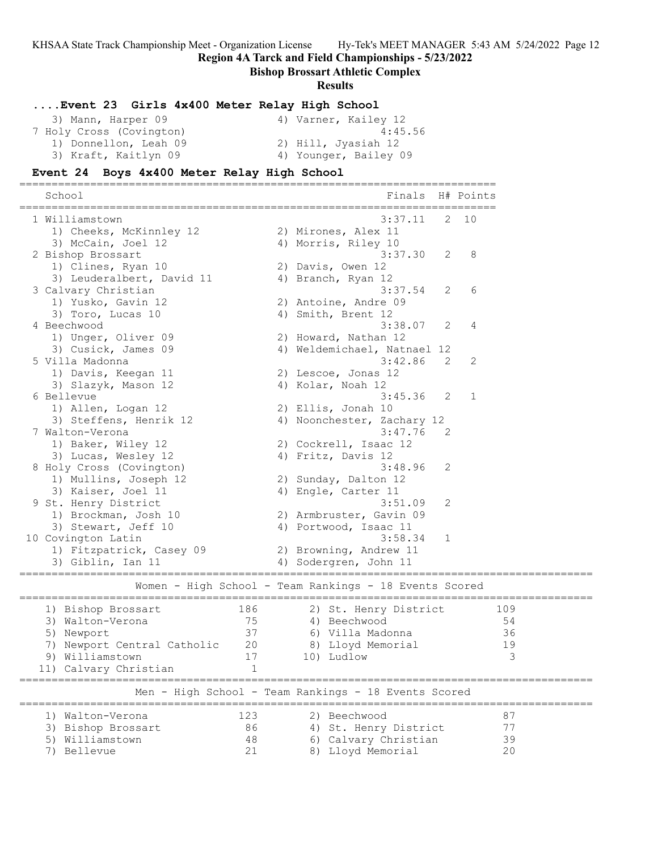**Region 4A Tarck and Field Championships - 5/23/2022**

#### **Bishop Brossart Athletic Complex**

#### **Results**

#### **....Event 23 Girls 4x400 Meter Relay High School**

| 3) Mann, Harper 09       | 4) Varner, Kailey 12  |
|--------------------------|-----------------------|
| 7 Holy Cross (Covington) | 4:45.56               |
| 1) Donnellon, Leah 09    | 2) Hill, Jyasiah 12   |
| 3) Kraft, Kaitlyn 09     | 4) Younger, Bailey 09 |

==========================================================================

#### **Event 24 Boys 4x400 Meter Relay High School**

School **Finals H# Points** ========================================================================== 1 Williamstown 3:37.11 2 10 1) Cheeks, McKinnley 12 2) Mirones, Alex 11 3) McCain, Joel 12 (4) Morris, Riley 10 2 Bishop Brossart 3:37.30 2 8 1) Clines, Ryan 10 2) Davis, Owen 12 3) Leuderalbert, David 11 (4) Branch, Ryan 12 3 Calvary Christian 3:37.54 2 6 1) Yusko, Gavin 12 2) Antoine, Andre 09 3) Toro, Lucas 10 4) Smith, Brent 12 4 Beechwood 3:38.07 2 4 1) Unger, Oliver 09 2) Howard, Nathan 12 3) Cusick, James 09 4) Weldemichael, Natnael 12 5 Villa Madonna 3:42.86 2 2 1) Davis, Keegan 11 2) Lescoe, Jonas 12 3) Slazyk, Mason 12 (4) Kolar, Noah 12 6 Bellevue 3:45.36 2 1 1) Allen, Logan 12 2) Ellis, Jonah 10 3) Steffens, Henrik 12 4) Noonchester, Zachary 12 7 Walton-Verona 3:47.76 2 1) Baker, Wiley 12 2) Cockrell, Isaac 12 3) Lucas, Wesley 12 (4) Fritz, Davis 12 8 Holy Cross (Covington) 3:48.96 2 1) Mullins, Joseph 12 2) Sunday, Dalton 12 3) Kaiser, Joel 11 4) Engle, Carter 11 9 St. Henry District 3:51.09 2 1) Brockman, Josh 10 2) Armbruster, Gavin 09 3) Stewart, Jeff 10 4) Portwood, Isaac 11 10 Covington Latin 3:58.34 1 1) Fitzpatrick, Casey 09 2) Browning, Andrew 11 3) Giblin, Ian 11 4) Sodergren, John 11 ========================================================================================= Women - High School - Team Rankings - 18 Events Scored ========================================================================================= 1) Bishop Brossart 186 2) St. Henry District 109 3) Walton-Verona 75 4) Beechwood 54 5) Newport 37 6) Villa Madonna 36 7) Newport Central Catholic 20 8) Lloyd Memorial 19 9) Williamstown 17 10) Ludlow 3 11) Calvary Christian 1 ========================================================================================= Men - High School - Team Rankings - 18 Events Scored ========================================================================================= 1) Walton-Verona 123 2) Beechwood 87 3) Bishop Brossart 86 4) St. Henry District 77 5) Williamstown 48 6) Calvary Christian 39 7) Bellevue 21 8) Lloyd Memorial 20